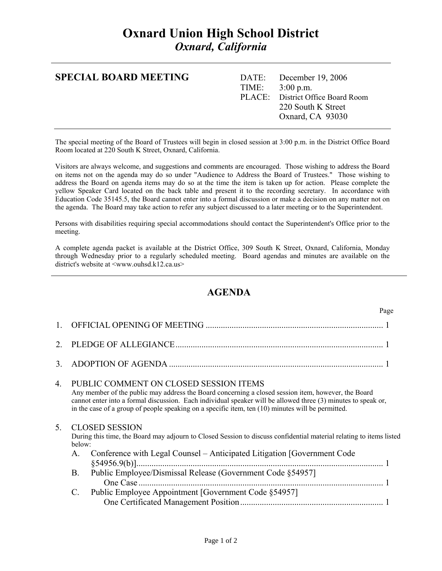## **Oxnard Union High School District**  *Oxnard, California*

| <b>SPECIAL BOARD MEETING</b> |  | DATE: December 19, 2006           |
|------------------------------|--|-----------------------------------|
|                              |  | TIME: $3:00 \text{ p.m.}$         |
|                              |  | PLACE: District Office Board Room |
|                              |  | 220 South K Street                |
|                              |  | Oxnard, CA 93030                  |
|                              |  |                                   |

The special meeting of the Board of Trustees will begin in closed session at 3:00 p.m. in the District Office Board Room located at 220 South K Street, Oxnard, California.

Visitors are always welcome, and suggestions and comments are encouraged. Those wishing to address the Board on items not on the agenda may do so under "Audience to Address the Board of Trustees." Those wishing to address the Board on agenda items may do so at the time the item is taken up for action. Please complete the yellow Speaker Card located on the back table and present it to the recording secretary. In accordance with Education Code 35145.5, the Board cannot enter into a formal discussion or make a decision on any matter not on the agenda. The Board may take action to refer any subject discussed to a later meeting or to the Superintendent.

Persons with disabilities requiring special accommodations should contact the Superintendent's Office prior to the meeting.

A complete agenda packet is available at the District Office, 309 South K Street, Oxnard, California, Monday through Wednesday prior to a regularly scheduled meeting. Board agendas and minutes are available on the district's website at <www.ouhsd.k12.ca.us>

## **AGENDA**

|    |                       | Page                                                                                                                                                                                                                                                                                                                                                                  |  |
|----|-----------------------|-----------------------------------------------------------------------------------------------------------------------------------------------------------------------------------------------------------------------------------------------------------------------------------------------------------------------------------------------------------------------|--|
|    |                       |                                                                                                                                                                                                                                                                                                                                                                       |  |
|    |                       |                                                                                                                                                                                                                                                                                                                                                                       |  |
| 3  |                       |                                                                                                                                                                                                                                                                                                                                                                       |  |
| 4. |                       | PUBLIC COMMENT ON CLOSED SESSION ITEMS<br>Any member of the public may address the Board concerning a closed session item, however, the Board<br>cannot enter into a formal discussion. Each individual speaker will be allowed three (3) minutes to speak or,<br>in the case of a group of people speaking on a specific item, ten $(10)$ minutes will be permitted. |  |
| 5. | below:<br>$A_{\cdot}$ | <b>CLOSED SESSION</b><br>During this time, the Board may adjourn to Closed Session to discuss confidential material relating to items listed<br>Conference with Legal Counsel - Anticipated Litigation [Government Code                                                                                                                                               |  |
|    | B.                    | Public Employee/Dismissal Release (Government Code §54957]                                                                                                                                                                                                                                                                                                            |  |
|    | C.                    | Public Employee Appointment [Government Code §54957]                                                                                                                                                                                                                                                                                                                  |  |